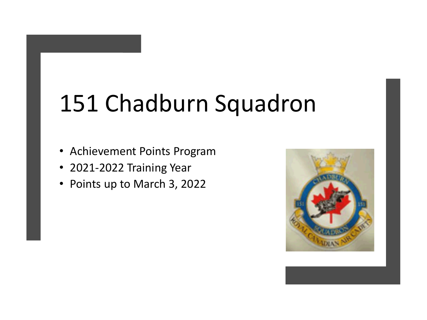# 151 Chadburn Squadron

- Achievement Points Program
- 2021-2022 Training Year
- Points up to March 3, 2022

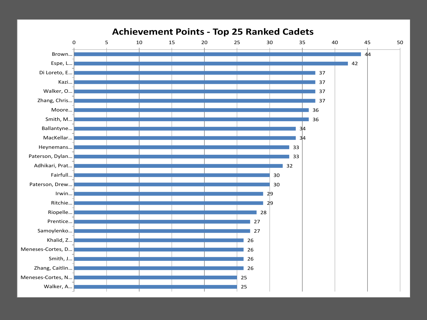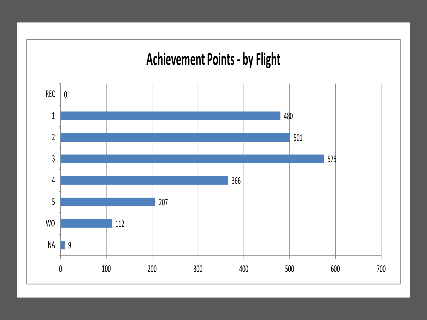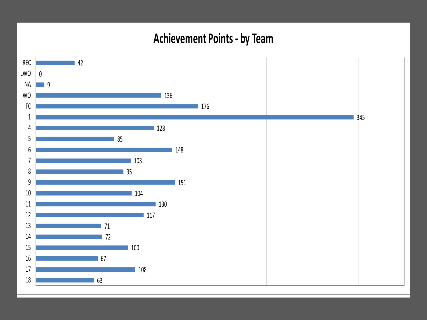#### **Achievement Points - by Team**

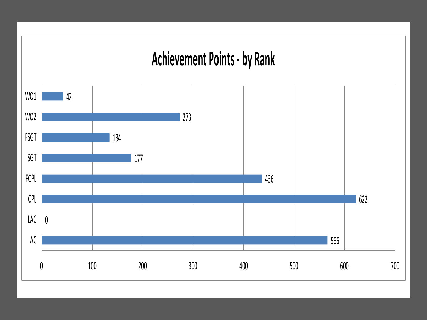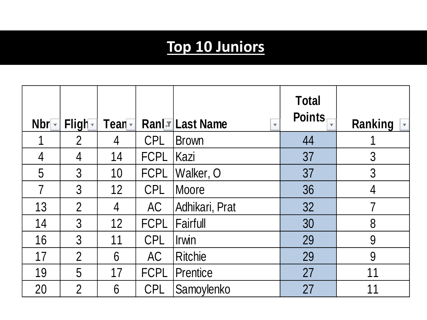## **Top 10 Juniors**

| $Nbr -$        | Fligh-         | Tean - |             | Ran TLast Name<br>$\overline{\phantom{a}}$ | <b>Total</b><br><b>Points</b> | Ranking |
|----------------|----------------|--------|-------------|--------------------------------------------|-------------------------------|---------|
|                | $\overline{2}$ | 4      | <b>CPL</b>  | <b>Brown</b>                               | 44                            |         |
| $\overline{4}$ | 4              | 14     | <b>FCPL</b> | Kazi                                       | 37                            | 3       |
| 5              | 3              | 10     | <b>FCPL</b> | Walker, O                                  | 37                            | 3       |
| 7              | $\mathfrak{Z}$ | 12     | <b>CPL</b>  | Moore                                      | 36                            | 4       |
| 13             | $\overline{2}$ | 4      | AC          | Adhikari, Prat                             | 32                            | 7       |
| 14             | $\mathfrak{Z}$ | 12     | <b>FCPL</b> | <b>Fairfull</b>                            | 30                            | 8       |
| 16             | 3              | 11     | <b>CPL</b>  | Irwin                                      | 29                            | 9       |
| 17             | $\overline{2}$ | 6      | <b>AC</b>   | <b>Ritchie</b>                             | 29                            | 9       |
| 19             | 5              | 17     | <b>FCPL</b> | <b>Prentice</b>                            | 27                            | 11      |
| 20             | $\overline{2}$ | 6      | <b>CPL</b>  | Samoylenko                                 | 27                            | 11      |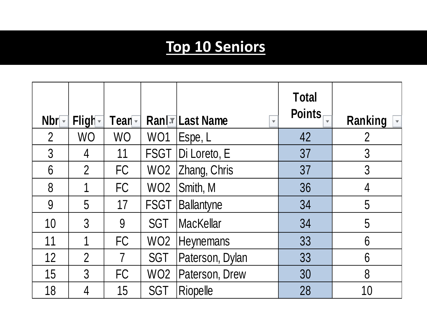## **Top 10 Seniors**

| Nbr            | Fligh-         | Tean –         |                 | Ran TLast Name<br>$\overline{\mathbf{v}}$ | <b>Total</b><br><b>Points</b> | Ranking        |
|----------------|----------------|----------------|-----------------|-------------------------------------------|-------------------------------|----------------|
| $\overline{2}$ | <b>WO</b>      | <b>WO</b>      | WO1             | Espe, L                                   | 42                            | 2              |
| 3              | 4              | 11             | <b>FSGT</b>     | Di Loreto, E                              | 37                            | $\overline{3}$ |
| 6              | $\overline{2}$ | FC             | WO <sub>2</sub> | Zhang, Chris                              | 37                            | $\overline{3}$ |
| 8              | 1              | FC             | WO <sub>2</sub> | Smith, M                                  | 36                            | 4              |
| 9              | 5              | 17             | <b>FSGT</b>     | <b>Ballantyne</b>                         | 34                            | 5              |
| 10             | 3              | 9              | SGT             | <b>MacKellar</b>                          | 34                            | 5              |
| 11             |                | FC             | WO <sub>2</sub> | Heynemans                                 | 33                            | 6              |
| 12             | $\overline{2}$ | $\overline{7}$ | <b>SGT</b>      | Paterson, Dylan                           | 33                            | 6              |
| 15             | 3              | <b>FC</b>      | WO <sub>2</sub> | Paterson, Drew                            | 30                            | 8              |
| 18             | 4              | 15             | <b>SGT</b>      | Riopelle                                  | 28                            | 10             |